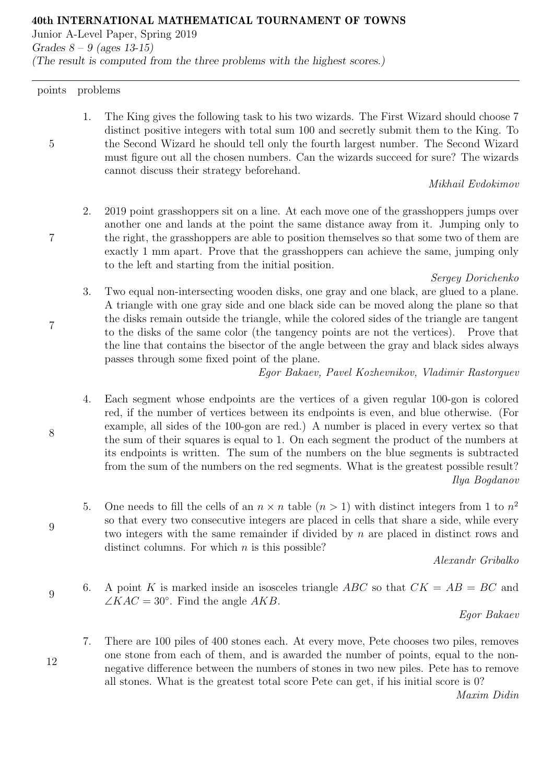40th INTERNATIONAL MATHEMATICAL TOURNAMENT OF TOWNS

Junior A-Level Paper, Spring 2019 Grades  $8 - 9$  (ages 13-15) (The result is computed from the three problems with the highest scores.)

points problems

5

7

7

1. The King gives the following task to his two wizards. The First Wizard should choose 7 distinct positive integers with total sum 100 and secretly submit them to the King. To the Second Wizard he should tell only the fourth largest number. The Second Wizard must figure out all the chosen numbers. Can the wizards succeed for sure? The wizards cannot discuss their strategy beforehand.

Mikhail Evdokimov

2. 2019 point grasshoppers sit on a line. At each move one of the grasshoppers jumps over another one and lands at the point the same distance away from it. Jumping only to the right, the grasshoppers are able to position themselves so that some two of them are exactly 1 mm apart. Prove that the grasshoppers can achieve the same, jumping only to the left and starting from the initial position.

#### Sergey Dorichenko

3. Two equal non-intersecting wooden disks, one gray and one black, are glued to a plane. A triangle with one gray side and one black side can be moved along the plane so that the disks remain outside the triangle, while the colored sides of the triangle are tangent to the disks of the same color (the tangency points are not the vertices). Prove that the line that contains the bisector of the angle between the gray and black sides always passes through some fixed point of the plane.

Egor Bakaev, Pavel Kozhevnikov, Vladimir Rastorguev

- 4. Each segment whose endpoints are the vertices of a given regular 100-gon is colored red, if the number of vertices between its endpoints is even, and blue otherwise. (For example, all sides of the 100-gon are red.) A number is placed in every vertex so that the sum of their squares is equal to 1. On each segment the product of the numbers at its endpoints is written. The sum of the numbers on the blue segments is subtracted from the sum of the numbers on the red segments. What is the greatest possible result? Ilya Bogdanov
- 5. One needs to fill the cells of an  $n \times n$  table  $(n > 1)$  with distinct integers from 1 to  $n^2$ so that every two consecutive integers are placed in cells that share a side, while every two integers with the same remainder if divided by n are placed in distinct rows and distinct columns. For which  $n$  is this possible?

Alexandr Gribalko

9 6. A point K is marked inside an isosceles triangle ABC so that  $CK = AB = BC$  and  $\angle KAC = 30^{\circ}$ . Find the angle AKB.

Egor Bakaev

7. There are 100 piles of 400 stones each. At every move, Pete chooses two piles, removes one stone from each of them, and is awarded the number of points, equal to the nonnegative difference between the numbers of stones in two new piles. Pete has to remove all stones. What is the greatest total score Pete can get, if his initial score is 0?

Maxim Didin

9

12

8